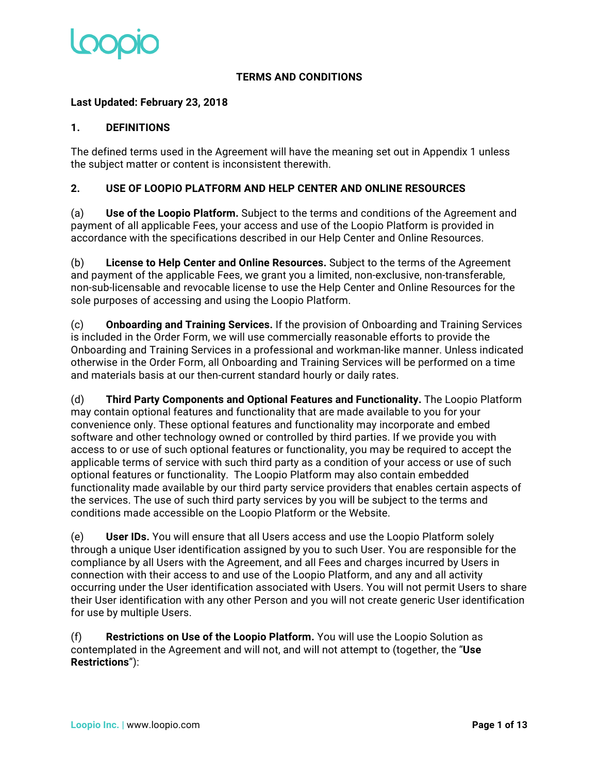

### **TERMS AND CONDITIONS**

### **Last Updated: February 23, 2018**

### **1. DEFINITIONS**

The defined terms used in the Agreement will have the meaning set out in Appendix 1 unless the subject matter or content is inconsistent therewith.

### **2. USE OF LOOPIO PLATFORM AND HELP CENTER AND ONLINE RESOURCES**

(a) **Use of the Loopio Platform.** Subject to the terms and conditions of the Agreement and payment of all applicable Fees, your access and use of the Loopio Platform is provided in accordance with the specifications described in our Help Center and Online Resources.

(b) **License to Help Center and Online Resources.** Subject to the terms of the Agreement and payment of the applicable Fees, we grant you a limited, non-exclusive, non-transferable, non-sub-licensable and revocable license to use the Help Center and Online Resources for the sole purposes of accessing and using the Loopio Platform.

(c) **Onboarding and Training Services.** If the provision of Onboarding and Training Services is included in the Order Form, we will use commercially reasonable efforts to provide the Onboarding and Training Services in a professional and workman-like manner. Unless indicated otherwise in the Order Form, all Onboarding and Training Services will be performed on a time and materials basis at our then-current standard hourly or daily rates.

(d) **Third Party Components and Optional Features and Functionality.** The Loopio Platform may contain optional features and functionality that are made available to you for your convenience only. These optional features and functionality may incorporate and embed software and other technology owned or controlled by third parties. If we provide you with access to or use of such optional features or functionality, you may be required to accept the applicable terms of service with such third party as a condition of your access or use of such optional features or functionality. The Loopio Platform may also contain embedded functionality made available by our third party service providers that enables certain aspects of the services. The use of such third party services by you will be subject to the terms and conditions made accessible on the Loopio Platform or the Website.

(e) **User IDs.** You will ensure that all Users access and use the Loopio Platform solely through a unique User identification assigned by you to such User. You are responsible for the compliance by all Users with the Agreement, and all Fees and charges incurred by Users in connection with their access to and use of the Loopio Platform, and any and all activity occurring under the User identification associated with Users. You will not permit Users to share their User identification with any other Person and you will not create generic User identification for use by multiple Users.

(f) **Restrictions on Use of the Loopio Platform.** You will use the Loopio Solution as contemplated in the Agreement and will not, and will not attempt to (together, the "**Use Restrictions**"):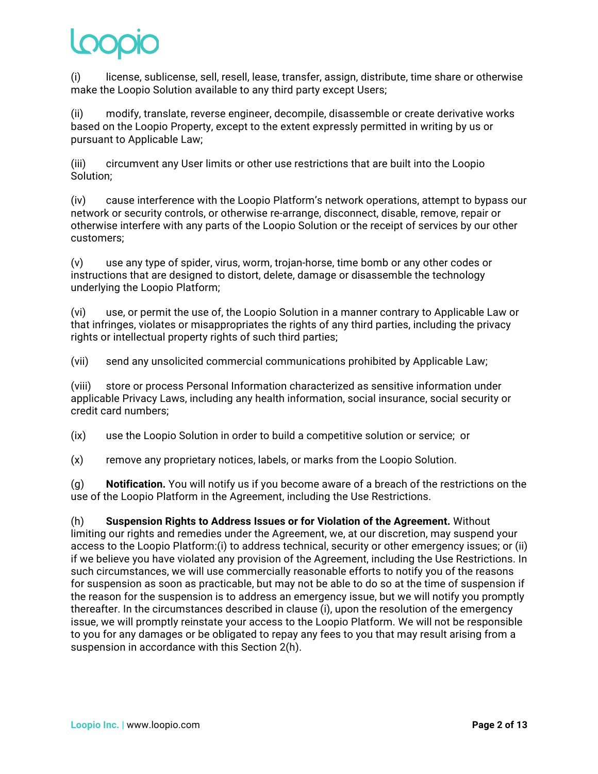(i) license, sublicense, sell, resell, lease, transfer, assign, distribute, time share or otherwise make the Loopio Solution available to any third party except Users;

(ii) modify, translate, reverse engineer, decompile, disassemble or create derivative works based on the Loopio Property, except to the extent expressly permitted in writing by us or pursuant to Applicable Law;

(iii) circumvent any User limits or other use restrictions that are built into the Loopio Solution;

(iv) cause interference with the Loopio Platform's network operations, attempt to bypass our network or security controls, or otherwise re-arrange, disconnect, disable, remove, repair or otherwise interfere with any parts of the Loopio Solution or the receipt of services by our other customers;

(v) use any type of spider, virus, worm, trojan-horse, time bomb or any other codes or instructions that are designed to distort, delete, damage or disassemble the technology underlying the Loopio Platform;

(vi) use, or permit the use of, the Loopio Solution in a manner contrary to Applicable Law or that infringes, violates or misappropriates the rights of any third parties, including the privacy rights or intellectual property rights of such third parties;

(vii) send any unsolicited commercial communications prohibited by Applicable Law;

(viii) store or process Personal Information characterized as sensitive information under applicable Privacy Laws, including any health information, social insurance, social security or credit card numbers;

(ix) use the Loopio Solution in order to build a competitive solution or service; or

(x) remove any proprietary notices, labels, or marks from the Loopio Solution.

(g) **Notification.** You will notify us if you become aware of a breach of the restrictions on the use of the Loopio Platform in the Agreement, including the Use Restrictions.

(h) **Suspension Rights to Address Issues or for Violation of the Agreement.** Without limiting our rights and remedies under the Agreement, we, at our discretion, may suspend your access to the Loopio Platform:(i) to address technical, security or other emergency issues; or (ii) if we believe you have violated any provision of the Agreement, including the Use Restrictions. In such circumstances, we will use commercially reasonable efforts to notify you of the reasons for suspension as soon as practicable, but may not be able to do so at the time of suspension if the reason for the suspension is to address an emergency issue, but we will notify you promptly thereafter. In the circumstances described in clause (i), upon the resolution of the emergency issue, we will promptly reinstate your access to the Loopio Platform. We will not be responsible to you for any damages or be obligated to repay any fees to you that may result arising from a suspension in accordance with this Section 2(h).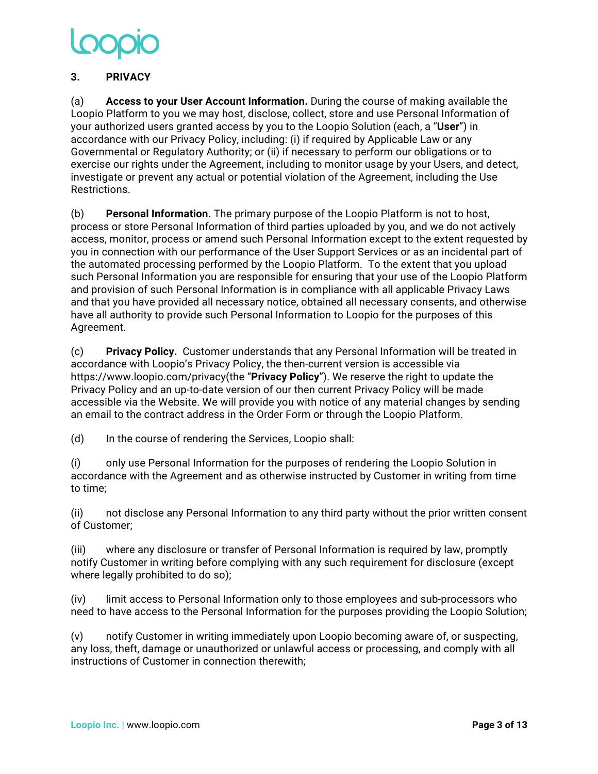### **3. PRIVACY**

(a) **Access to your User Account Information.** During the course of making available the Loopio Platform to you we may host, disclose, collect, store and use Personal Information of your authorized users granted access by you to the Loopio Solution (each, a "**User**") in accordance with our Privacy Policy, including: (i) if required by Applicable Law or any Governmental or Regulatory Authority; or (ii) if necessary to perform our obligations or to exercise our rights under the Agreement, including to monitor usage by your Users, and detect, investigate or prevent any actual or potential violation of the Agreement, including the Use Restrictions.

(b) **Personal Information.** The primary purpose of the Loopio Platform is not to host, process or store Personal Information of third parties uploaded by you, and we do not actively access, monitor, process or amend such Personal Information except to the extent requested by you in connection with our performance of the User Support Services or as an incidental part of the automated processing performed by the Loopio Platform. To the extent that you upload such Personal Information you are responsible for ensuring that your use of the Loopio Platform and provision of such Personal Information is in compliance with all applicable Privacy Laws and that you have provided all necessary notice, obtained all necessary consents, and otherwise have all authority to provide such Personal Information to Loopio for the purposes of this Agreement.

(c) **Privacy Policy.** Customer understands that any Personal Information will be treated in accordance with Loopio's Privacy Policy, the then-current version is accessible via https://www.loopio.com/privacy(the "**Privacy Policy**"). We reserve the right to update the Privacy Policy and an up-to-date version of our then current Privacy Policy will be made accessible via the Website. We will provide you with notice of any material changes by sending an email to the contract address in the Order Form or through the Loopio Platform.

(d) In the course of rendering the Services, Loopio shall:

(i) only use Personal Information for the purposes of rendering the Loopio Solution in accordance with the Agreement and as otherwise instructed by Customer in writing from time to time;

(ii) not disclose any Personal Information to any third party without the prior written consent of Customer;

(iii) where any disclosure or transfer of Personal Information is required by law, promptly notify Customer in writing before complying with any such requirement for disclosure (except where legally prohibited to do so);

(iv) limit access to Personal Information only to those employees and sub-processors who need to have access to the Personal Information for the purposes providing the Loopio Solution;

(v) notify Customer in writing immediately upon Loopio becoming aware of, or suspecting, any loss, theft, damage or unauthorized or unlawful access or processing, and comply with all instructions of Customer in connection therewith;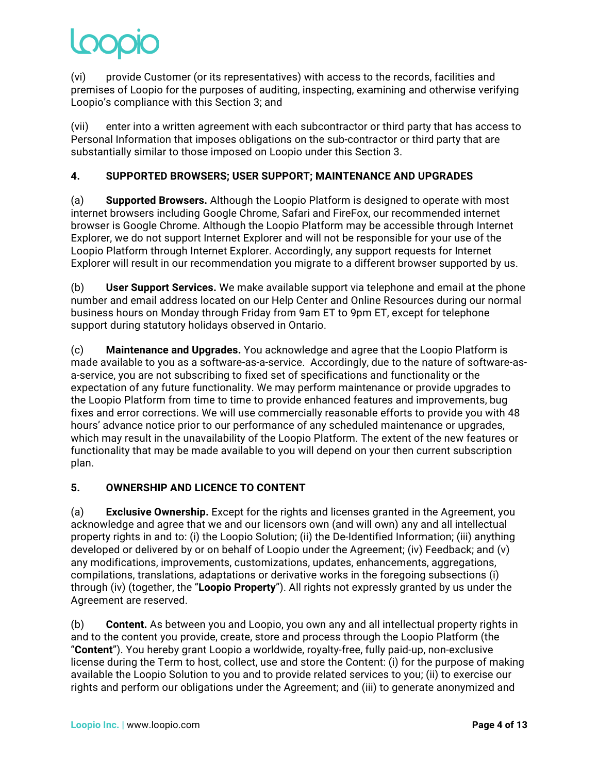(vi) provide Customer (or its representatives) with access to the records, facilities and premises of Loopio for the purposes of auditing, inspecting, examining and otherwise verifying Loopio's compliance with this Section 3; and

(vii) enter into a written agreement with each subcontractor or third party that has access to Personal Information that imposes obligations on the sub-contractor or third party that are substantially similar to those imposed on Loopio under this Section 3.

# **4. SUPPORTED BROWSERS; USER SUPPORT; MAINTENANCE AND UPGRADES**

(a) **Supported Browsers.** Although the Loopio Platform is designed to operate with most internet browsers including Google Chrome, Safari and FireFox, our recommended internet browser is Google Chrome. Although the Loopio Platform may be accessible through Internet Explorer, we do not support Internet Explorer and will not be responsible for your use of the Loopio Platform through Internet Explorer. Accordingly, any support requests for Internet Explorer will result in our recommendation you migrate to a different browser supported by us.

(b) **User Support Services.** We make available support via telephone and email at the phone number and email address located on our Help Center and Online Resources during our normal business hours on Monday through Friday from 9am ET to 9pm ET, except for telephone support during statutory holidays observed in Ontario.

(c) **Maintenance and Upgrades.** You acknowledge and agree that the Loopio Platform is made available to you as a software-as-a-service. Accordingly, due to the nature of software-asa-service, you are not subscribing to fixed set of specifications and functionality or the expectation of any future functionality. We may perform maintenance or provide upgrades to the Loopio Platform from time to time to provide enhanced features and improvements, bug fixes and error corrections. We will use commercially reasonable efforts to provide you with 48 hours' advance notice prior to our performance of any scheduled maintenance or upgrades, which may result in the unavailability of the Loopio Platform. The extent of the new features or functionality that may be made available to you will depend on your then current subscription plan.

## **5. OWNERSHIP AND LICENCE TO CONTENT**

(a) **Exclusive Ownership.** Except for the rights and licenses granted in the Agreement, you acknowledge and agree that we and our licensors own (and will own) any and all intellectual property rights in and to: (i) the Loopio Solution; (ii) the De-Identified Information; (iii) anything developed or delivered by or on behalf of Loopio under the Agreement; (iv) Feedback; and (v) any modifications, improvements, customizations, updates, enhancements, aggregations, compilations, translations, adaptations or derivative works in the foregoing subsections (i) through (iv) (together, the "**Loopio Property**"). All rights not expressly granted by us under the Agreement are reserved.

(b) **Content.** As between you and Loopio, you own any and all intellectual property rights in and to the content you provide, create, store and process through the Loopio Platform (the "**Content**"). You hereby grant Loopio a worldwide, royalty-free, fully paid-up, non-exclusive license during the Term to host, collect, use and store the Content: (i) for the purpose of making available the Loopio Solution to you and to provide related services to you; (ii) to exercise our rights and perform our obligations under the Agreement; and (iii) to generate anonymized and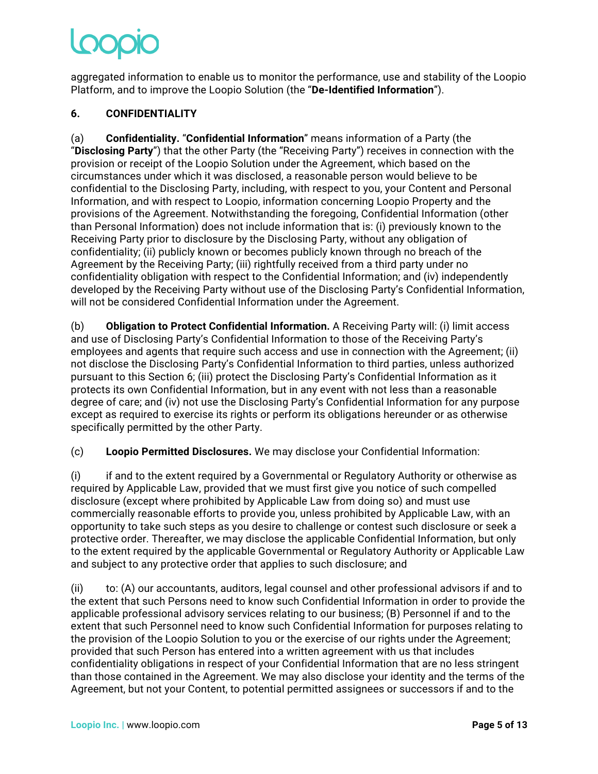aggregated information to enable us to monitor the performance, use and stability of the Loopio Platform, and to improve the Loopio Solution (the "**De-Identified Information**").

# **6. CONFIDENTIALITY**

(a) **Confidentiality.** "**Confidential Information**" means information of a Party (the "**Disclosing Party**") that the other Party (the "Receiving Party") receives in connection with the provision or receipt of the Loopio Solution under the Agreement, which based on the circumstances under which it was disclosed, a reasonable person would believe to be confidential to the Disclosing Party, including, with respect to you, your Content and Personal Information, and with respect to Loopio, information concerning Loopio Property and the provisions of the Agreement. Notwithstanding the foregoing, Confidential Information (other than Personal Information) does not include information that is: (i) previously known to the Receiving Party prior to disclosure by the Disclosing Party, without any obligation of confidentiality; (ii) publicly known or becomes publicly known through no breach of the Agreement by the Receiving Party; (iii) rightfully received from a third party under no confidentiality obligation with respect to the Confidential Information; and (iv) independently developed by the Receiving Party without use of the Disclosing Party's Confidential Information, will not be considered Confidential Information under the Agreement.

(b) **Obligation to Protect Confidential Information.** A Receiving Party will: (i) limit access and use of Disclosing Party's Confidential Information to those of the Receiving Party's employees and agents that require such access and use in connection with the Agreement; (ii) not disclose the Disclosing Party's Confidential Information to third parties, unless authorized pursuant to this Section 6; (iii) protect the Disclosing Party's Confidential Information as it protects its own Confidential Information, but in any event with not less than a reasonable degree of care; and (iv) not use the Disclosing Party's Confidential Information for any purpose except as required to exercise its rights or perform its obligations hereunder or as otherwise specifically permitted by the other Party.

(c) **Loopio Permitted Disclosures.** We may disclose your Confidential Information:

(i) if and to the extent required by a Governmental or Regulatory Authority or otherwise as required by Applicable Law, provided that we must first give you notice of such compelled disclosure (except where prohibited by Applicable Law from doing so) and must use commercially reasonable efforts to provide you, unless prohibited by Applicable Law, with an opportunity to take such steps as you desire to challenge or contest such disclosure or seek a protective order. Thereafter, we may disclose the applicable Confidential Information, but only to the extent required by the applicable Governmental or Regulatory Authority or Applicable Law and subject to any protective order that applies to such disclosure; and

(ii) to: (A) our accountants, auditors, legal counsel and other professional advisors if and to the extent that such Persons need to know such Confidential Information in order to provide the applicable professional advisory services relating to our business; (B) Personnel if and to the extent that such Personnel need to know such Confidential Information for purposes relating to the provision of the Loopio Solution to you or the exercise of our rights under the Agreement; provided that such Person has entered into a written agreement with us that includes confidentiality obligations in respect of your Confidential Information that are no less stringent than those contained in the Agreement. We may also disclose your identity and the terms of the Agreement, but not your Content, to potential permitted assignees or successors if and to the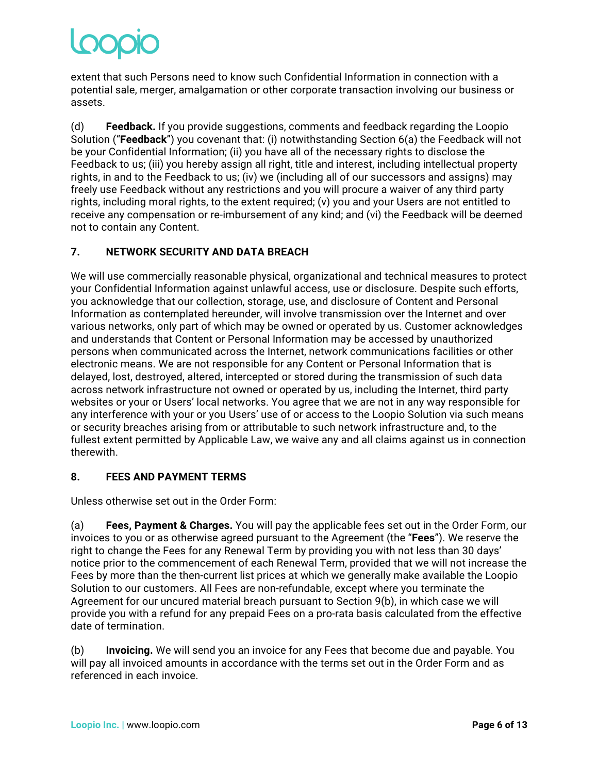extent that such Persons need to know such Confidential Information in connection with a potential sale, merger, amalgamation or other corporate transaction involving our business or assets.

(d) **Feedback.** If you provide suggestions, comments and feedback regarding the Loopio Solution ("**Feedback**") you covenant that: (i) notwithstanding Section 6(a) the Feedback will not be your Confidential Information; (ii) you have all of the necessary rights to disclose the Feedback to us; (iii) you hereby assign all right, title and interest, including intellectual property rights, in and to the Feedback to us; (iv) we (including all of our successors and assigns) may freely use Feedback without any restrictions and you will procure a waiver of any third party rights, including moral rights, to the extent required; (v) you and your Users are not entitled to receive any compensation or re-imbursement of any kind; and (vi) the Feedback will be deemed not to contain any Content.

# **7. NETWORK SECURITY AND DATA BREACH**

We will use commercially reasonable physical, organizational and technical measures to protect your Confidential Information against unlawful access, use or disclosure. Despite such efforts, you acknowledge that our collection, storage, use, and disclosure of Content and Personal Information as contemplated hereunder, will involve transmission over the Internet and over various networks, only part of which may be owned or operated by us. Customer acknowledges and understands that Content or Personal Information may be accessed by unauthorized persons when communicated across the Internet, network communications facilities or other electronic means. We are not responsible for any Content or Personal Information that is delayed, lost, destroyed, altered, intercepted or stored during the transmission of such data across network infrastructure not owned or operated by us, including the Internet, third party websites or your or Users' local networks. You agree that we are not in any way responsible for any interference with your or you Users' use of or access to the Loopio Solution via such means or security breaches arising from or attributable to such network infrastructure and, to the fullest extent permitted by Applicable Law, we waive any and all claims against us in connection therewith.

## **8. FEES AND PAYMENT TERMS**

Unless otherwise set out in the Order Form:

(a) **Fees, Payment & Charges.** You will pay the applicable fees set out in the Order Form, our invoices to you or as otherwise agreed pursuant to the Agreement (the "**Fees**"). We reserve the right to change the Fees for any Renewal Term by providing you with not less than 30 days' notice prior to the commencement of each Renewal Term, provided that we will not increase the Fees by more than the then-current list prices at which we generally make available the Loopio Solution to our customers. All Fees are non-refundable, except where you terminate the Agreement for our uncured material breach pursuant to Section 9(b), in which case we will provide you with a refund for any prepaid Fees on a pro-rata basis calculated from the effective date of termination.

(b) **Invoicing.** We will send you an invoice for any Fees that become due and payable. You will pay all invoiced amounts in accordance with the terms set out in the Order Form and as referenced in each invoice.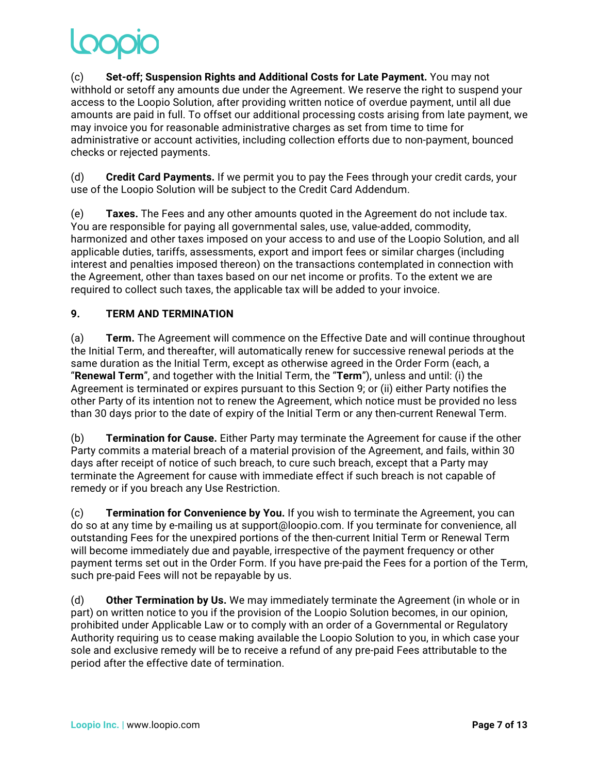(c) **Set-off; Suspension Rights and Additional Costs for Late Payment.** You may not withhold or setoff any amounts due under the Agreement. We reserve the right to suspend your access to the Loopio Solution, after providing written notice of overdue payment, until all due amounts are paid in full. To offset our additional processing costs arising from late payment, we may invoice you for reasonable administrative charges as set from time to time for administrative or account activities, including collection efforts due to non-payment, bounced checks or rejected payments.

(d) **Credit Card Payments.** If we permit you to pay the Fees through your credit cards, your use of the Loopio Solution will be subject to the Credit Card Addendum.

(e) **Taxes.** The Fees and any other amounts quoted in the Agreement do not include tax. You are responsible for paying all governmental sales, use, value-added, commodity, harmonized and other taxes imposed on your access to and use of the Loopio Solution, and all applicable duties, tariffs, assessments, export and import fees or similar charges (including interest and penalties imposed thereon) on the transactions contemplated in connection with the Agreement, other than taxes based on our net income or profits. To the extent we are required to collect such taxes, the applicable tax will be added to your invoice.

## **9. TERM AND TERMINATION**

(a) **Term.** The Agreement will commence on the Effective Date and will continue throughout the Initial Term, and thereafter, will automatically renew for successive renewal periods at the same duration as the Initial Term, except as otherwise agreed in the Order Form (each, a "**Renewal Term**", and together with the Initial Term, the "**Term**"), unless and until: (i) the Agreement is terminated or expires pursuant to this Section 9; or (ii) either Party notifies the other Party of its intention not to renew the Agreement, which notice must be provided no less than 30 days prior to the date of expiry of the Initial Term or any then-current Renewal Term.

(b) **Termination for Cause.** Either Party may terminate the Agreement for cause if the other Party commits a material breach of a material provision of the Agreement, and fails, within 30 days after receipt of notice of such breach, to cure such breach, except that a Party may terminate the Agreement for cause with immediate effect if such breach is not capable of remedy or if you breach any Use Restriction.

(c) **Termination for Convenience by You.** If you wish to terminate the Agreement, you can do so at any time by e-mailing us at support@loopio.com. If you terminate for convenience, all outstanding Fees for the unexpired portions of the then-current Initial Term or Renewal Term will become immediately due and payable, irrespective of the payment frequency or other payment terms set out in the Order Form. If you have pre-paid the Fees for a portion of the Term, such pre-paid Fees will not be repayable by us.

(d) **Other Termination by Us.** We may immediately terminate the Agreement (in whole or in part) on written notice to you if the provision of the Loopio Solution becomes, in our opinion, prohibited under Applicable Law or to comply with an order of a Governmental or Regulatory Authority requiring us to cease making available the Loopio Solution to you, in which case your sole and exclusive remedy will be to receive a refund of any pre-paid Fees attributable to the period after the effective date of termination.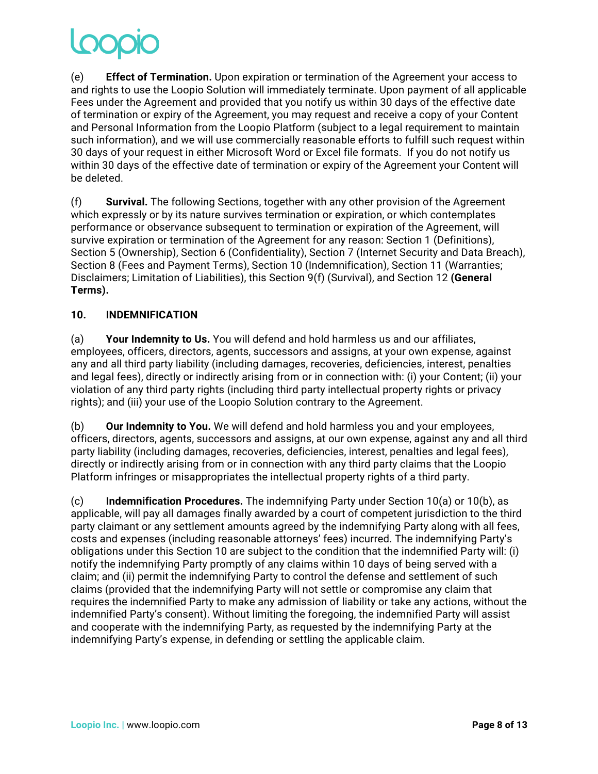(e) **Effect of Termination.** Upon expiration or termination of the Agreement your access to and rights to use the Loopio Solution will immediately terminate. Upon payment of all applicable Fees under the Agreement and provided that you notify us within 30 days of the effective date of termination or expiry of the Agreement, you may request and receive a copy of your Content and Personal Information from the Loopio Platform (subject to a legal requirement to maintain such information), and we will use commercially reasonable efforts to fulfill such request within 30 days of your request in either Microsoft Word or Excel file formats. If you do not notify us within 30 days of the effective date of termination or expiry of the Agreement your Content will be deleted.

(f) **Survival.** The following Sections, together with any other provision of the Agreement which expressly or by its nature survives termination or expiration, or which contemplates performance or observance subsequent to termination or expiration of the Agreement, will survive expiration or termination of the Agreement for any reason: Section 1 (Definitions), Section 5 (Ownership), Section 6 (Confidentiality), Section 7 (Internet Security and Data Breach), Section 8 (Fees and Payment Terms), Section 10 (Indemnification), Section 11 (Warranties; Disclaimers; Limitation of Liabilities), this Section 9(f) (Survival), and Section 12 **(General Terms).**

## **10. INDEMNIFICATION**

(a) **Your Indemnity to Us.** You will defend and hold harmless us and our affiliates, employees, officers, directors, agents, successors and assigns, at your own expense, against any and all third party liability (including damages, recoveries, deficiencies, interest, penalties and legal fees), directly or indirectly arising from or in connection with: (i) your Content; (ii) your violation of any third party rights (including third party intellectual property rights or privacy rights); and (iii) your use of the Loopio Solution contrary to the Agreement.

(b) **Our Indemnity to You.** We will defend and hold harmless you and your employees, officers, directors, agents, successors and assigns, at our own expense, against any and all third party liability (including damages, recoveries, deficiencies, interest, penalties and legal fees), directly or indirectly arising from or in connection with any third party claims that the Loopio Platform infringes or misappropriates the intellectual property rights of a third party.

(c) **Indemnification Procedures.** The indemnifying Party under Section 10(a) or 10(b), as applicable, will pay all damages finally awarded by a court of competent jurisdiction to the third party claimant or any settlement amounts agreed by the indemnifying Party along with all fees, costs and expenses (including reasonable attorneys' fees) incurred. The indemnifying Party's obligations under this Section 10 are subject to the condition that the indemnified Party will: (i) notify the indemnifying Party promptly of any claims within 10 days of being served with a claim; and (ii) permit the indemnifying Party to control the defense and settlement of such claims (provided that the indemnifying Party will not settle or compromise any claim that requires the indemnified Party to make any admission of liability or take any actions, without the indemnified Party's consent). Without limiting the foregoing, the indemnified Party will assist and cooperate with the indemnifying Party, as requested by the indemnifying Party at the indemnifying Party's expense, in defending or settling the applicable claim.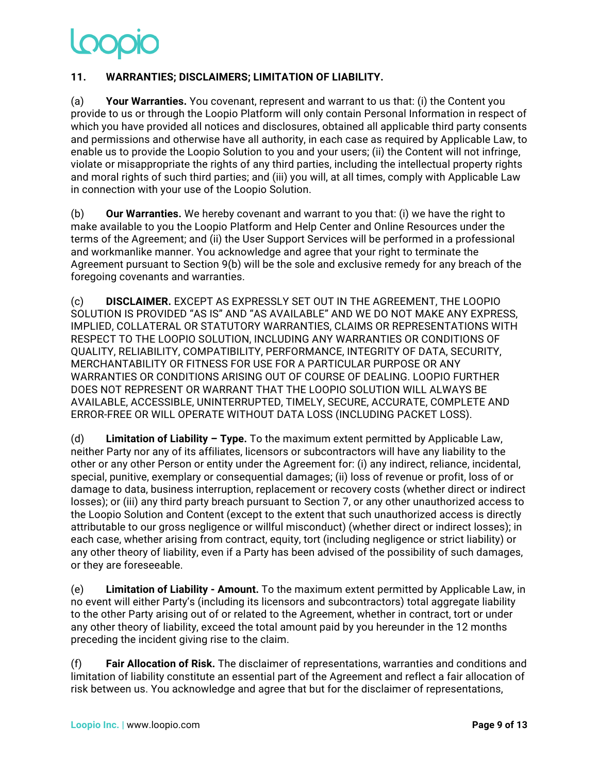# **11. WARRANTIES; DISCLAIMERS; LIMITATION OF LIABILITY.**

(a) **Your Warranties.** You covenant, represent and warrant to us that: (i) the Content you provide to us or through the Loopio Platform will only contain Personal Information in respect of which you have provided all notices and disclosures, obtained all applicable third party consents and permissions and otherwise have all authority, in each case as required by Applicable Law, to enable us to provide the Loopio Solution to you and your users; (ii) the Content will not infringe, violate or misappropriate the rights of any third parties, including the intellectual property rights and moral rights of such third parties; and (iii) you will, at all times, comply with Applicable Law in connection with your use of the Loopio Solution.

(b) **Our Warranties.** We hereby covenant and warrant to you that: (i) we have the right to make available to you the Loopio Platform and Help Center and Online Resources under the terms of the Agreement; and (ii) the User Support Services will be performed in a professional and workmanlike manner. You acknowledge and agree that your right to terminate the Agreement pursuant to Section 9(b) will be the sole and exclusive remedy for any breach of the foregoing covenants and warranties.

(c) **DISCLAIMER.** EXCEPT AS EXPRESSLY SET OUT IN THE AGREEMENT, THE LOOPIO SOLUTION IS PROVIDED "AS IS" AND "AS AVAILABLE" AND WE DO NOT MAKE ANY EXPRESS, IMPLIED, COLLATERAL OR STATUTORY WARRANTIES, CLAIMS OR REPRESENTATIONS WITH RESPECT TO THE LOOPIO SOLUTION, INCLUDING ANY WARRANTIES OR CONDITIONS OF QUALITY, RELIABILITY, COMPATIBILITY, PERFORMANCE, INTEGRITY OF DATA, SECURITY, MERCHANTABILITY OR FITNESS FOR USE FOR A PARTICULAR PURPOSE OR ANY WARRANTIES OR CONDITIONS ARISING OUT OF COURSE OF DEALING. LOOPIO FURTHER DOES NOT REPRESENT OR WARRANT THAT THE LOOPIO SOLUTION WILL ALWAYS BE AVAILABLE, ACCESSIBLE, UNINTERRUPTED, TIMELY, SECURE, ACCURATE, COMPLETE AND ERROR-FREE OR WILL OPERATE WITHOUT DATA LOSS (INCLUDING PACKET LOSS).

(d) **Limitation of Liability – Type.** To the maximum extent permitted by Applicable Law, neither Party nor any of its affiliates, licensors or subcontractors will have any liability to the other or any other Person or entity under the Agreement for: (i) any indirect, reliance, incidental, special, punitive, exemplary or consequential damages; (ii) loss of revenue or profit, loss of or damage to data, business interruption, replacement or recovery costs (whether direct or indirect losses); or (iii) any third party breach pursuant to Section 7, or any other unauthorized access to the Loopio Solution and Content (except to the extent that such unauthorized access is directly attributable to our gross negligence or willful misconduct) (whether direct or indirect losses); in each case, whether arising from contract, equity, tort (including negligence or strict liability) or any other theory of liability, even if a Party has been advised of the possibility of such damages, or they are foreseeable.

(e) **Limitation of Liability - Amount.** To the maximum extent permitted by Applicable Law, in no event will either Party's (including its licensors and subcontractors) total aggregate liability to the other Party arising out of or related to the Agreement, whether in contract, tort or under any other theory of liability, exceed the total amount paid by you hereunder in the 12 months preceding the incident giving rise to the claim.

(f) **Fair Allocation of Risk.** The disclaimer of representations, warranties and conditions and limitation of liability constitute an essential part of the Agreement and reflect a fair allocation of risk between us. You acknowledge and agree that but for the disclaimer of representations,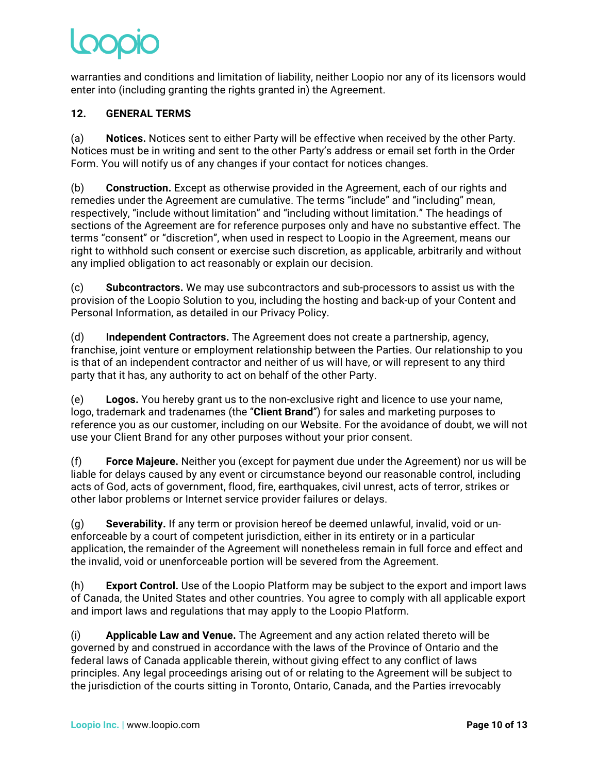warranties and conditions and limitation of liability, neither Loopio nor any of its licensors would enter into (including granting the rights granted in) the Agreement.

# **12. GENERAL TERMS**

(a) **Notices.** Notices sent to either Party will be effective when received by the other Party. Notices must be in writing and sent to the other Party's address or email set forth in the Order Form. You will notify us of any changes if your contact for notices changes.

(b) **Construction.** Except as otherwise provided in the Agreement, each of our rights and remedies under the Agreement are cumulative. The terms "include" and "including" mean, respectively, "include without limitation" and "including without limitation." The headings of sections of the Agreement are for reference purposes only and have no substantive effect. The terms "consent" or "discretion", when used in respect to Loopio in the Agreement, means our right to withhold such consent or exercise such discretion, as applicable, arbitrarily and without any implied obligation to act reasonably or explain our decision.

(c) **Subcontractors.** We may use subcontractors and sub-processors to assist us with the provision of the Loopio Solution to you, including the hosting and back-up of your Content and Personal Information, as detailed in our Privacy Policy.

(d) **Independent Contractors.** The Agreement does not create a partnership, agency, franchise, joint venture or employment relationship between the Parties. Our relationship to you is that of an independent contractor and neither of us will have, or will represent to any third party that it has, any authority to act on behalf of the other Party.

(e) **Logos.** You hereby grant us to the non-exclusive right and licence to use your name, logo, trademark and tradenames (the "**Client Brand**") for sales and marketing purposes to reference you as our customer, including on our Website. For the avoidance of doubt, we will not use your Client Brand for any other purposes without your prior consent.

(f) **Force Majeure.** Neither you (except for payment due under the Agreement) nor us will be liable for delays caused by any event or circumstance beyond our reasonable control, including acts of God, acts of government, flood, fire, earthquakes, civil unrest, acts of terror, strikes or other labor problems or Internet service provider failures or delays.

(g) **Severability.** If any term or provision hereof be deemed unlawful, invalid, void or unenforceable by a court of competent jurisdiction, either in its entirety or in a particular application, the remainder of the Agreement will nonetheless remain in full force and effect and the invalid, void or unenforceable portion will be severed from the Agreement.

(h) **Export Control.** Use of the Loopio Platform may be subject to the export and import laws of Canada, the United States and other countries. You agree to comply with all applicable export and import laws and regulations that may apply to the Loopio Platform.

(i) **Applicable Law and Venue.** The Agreement and any action related thereto will be governed by and construed in accordance with the laws of the Province of Ontario and the federal laws of Canada applicable therein, without giving effect to any conflict of laws principles. Any legal proceedings arising out of or relating to the Agreement will be subject to the jurisdiction of the courts sitting in Toronto, Ontario, Canada, and the Parties irrevocably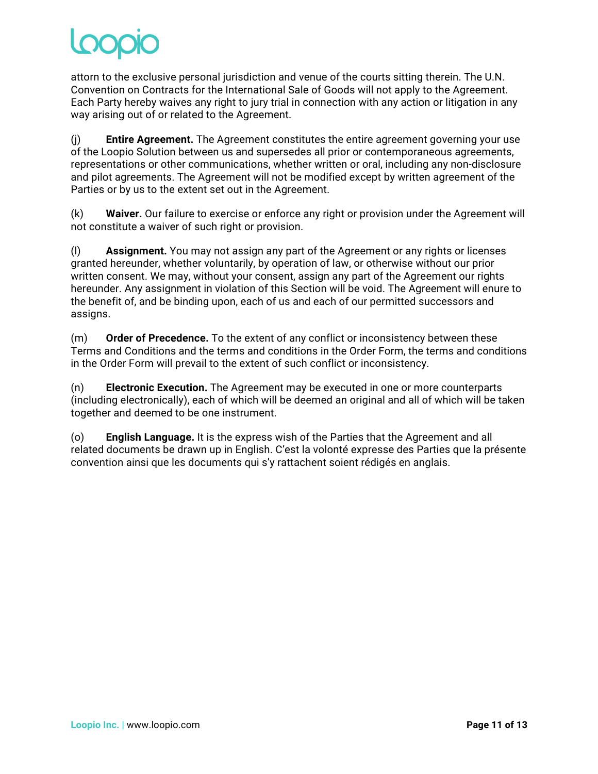attorn to the exclusive personal jurisdiction and venue of the courts sitting therein. The U.N. Convention on Contracts for the International Sale of Goods will not apply to the Agreement. Each Party hereby waives any right to jury trial in connection with any action or litigation in any way arising out of or related to the Agreement.

(j) **Entire Agreement.** The Agreement constitutes the entire agreement governing your use of the Loopio Solution between us and supersedes all prior or contemporaneous agreements, representations or other communications, whether written or oral, including any non-disclosure and pilot agreements. The Agreement will not be modified except by written agreement of the Parties or by us to the extent set out in the Agreement.

(k) **Waiver.** Our failure to exercise or enforce any right or provision under the Agreement will not constitute a waiver of such right or provision.

(l) **Assignment.** You may not assign any part of the Agreement or any rights or licenses granted hereunder, whether voluntarily, by operation of law, or otherwise without our prior written consent. We may, without your consent, assign any part of the Agreement our rights hereunder. Any assignment in violation of this Section will be void. The Agreement will enure to the benefit of, and be binding upon, each of us and each of our permitted successors and assigns.

(m) **Order of Precedence.** To the extent of any conflict or inconsistency between these Terms and Conditions and the terms and conditions in the Order Form, the terms and conditions in the Order Form will prevail to the extent of such conflict or inconsistency.

(n) **Electronic Execution.** The Agreement may be executed in one or more counterparts (including electronically), each of which will be deemed an original and all of which will be taken together and deemed to be one instrument.

(o) **English Language.** It is the express wish of the Parties that the Agreement and all related documents be drawn up in English. C'est la volonté expresse des Parties que la présente convention ainsi que les documents qui s'y rattachent soient rédigés en anglais.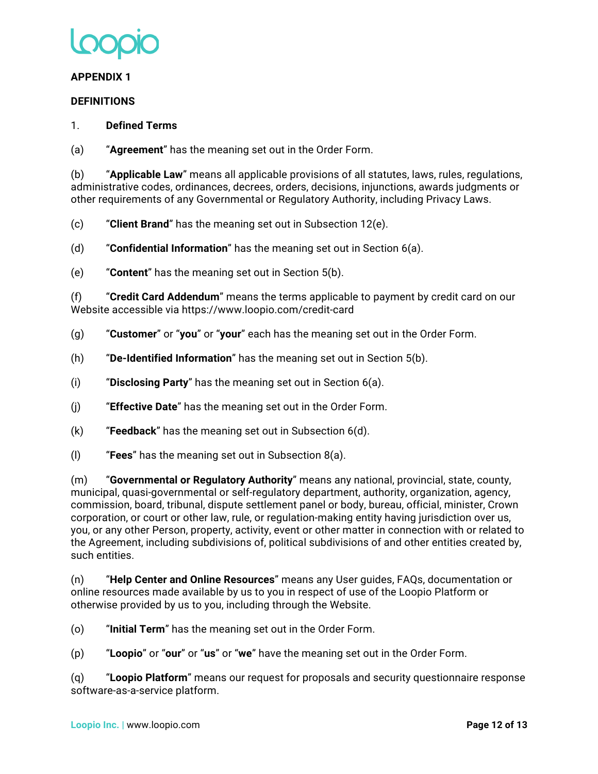

### **APPENDIX 1**

### **DEFINITIONS**

### 1. **Defined Terms**

(a) "**Agreement**" has the meaning set out in the Order Form.

(b) "**Applicable Law**" means all applicable provisions of all statutes, laws, rules, regulations, administrative codes, ordinances, decrees, orders, decisions, injunctions, awards judgments or other requirements of any Governmental or Regulatory Authority, including Privacy Laws.

(c) "**Client Brand**" has the meaning set out in Subsection 12(e).

(d) "**Confidential Information**" has the meaning set out in Section 6(a).

(e) "**Content**" has the meaning set out in Section 5(b).

(f) "**Credit Card Addendum**" means the terms applicable to payment by credit card on our Website accessible via https://www.loopio.com/credit-card

- (g) "**Customer**" or "**you**" or "**your**" each has the meaning set out in the Order Form.
- (h) "**De-Identified Information**" has the meaning set out in Section 5(b).
- (i) "**Disclosing Party**" has the meaning set out in Section 6(a).
- (j) "**Effective Date**" has the meaning set out in the Order Form.
- (k) "**Feedback**" has the meaning set out in Subsection 6(d).
- (l) "**Fees**" has the meaning set out in Subsection 8(a).

(m) "**Governmental or Regulatory Authority**" means any national, provincial, state, county, municipal, quasi-governmental or self-regulatory department, authority, organization, agency, commission, board, tribunal, dispute settlement panel or body, bureau, official, minister, Crown corporation, or court or other law, rule, or regulation-making entity having jurisdiction over us, you, or any other Person, property, activity, event or other matter in connection with or related to the Agreement, including subdivisions of, political subdivisions of and other entities created by, such entities.

(n) "**Help Center and Online Resources**" means any User guides, FAQs, documentation or online resources made available by us to you in respect of use of the Loopio Platform or otherwise provided by us to you, including through the Website.

(o) "**Initial Term**" has the meaning set out in the Order Form.

(p) "**Loopio**" or "**our**" or "**us**" or "**we**" have the meaning set out in the Order Form.

(q) "**Loopio Platform**" means our request for proposals and security questionnaire response software-as-a-service platform.